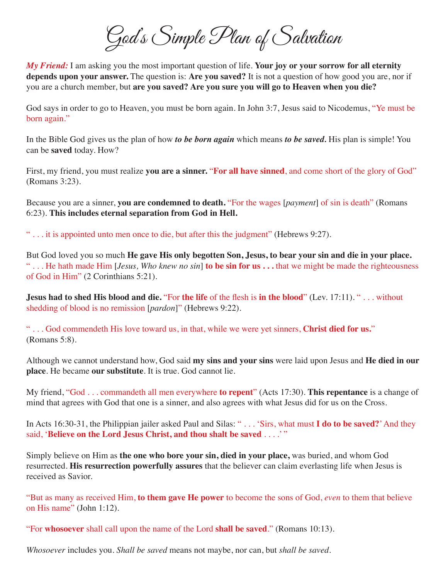God's Simple Plan of Salvation

*My Friend:* I am asking you the most important question of life. **Your joy or your sorrow for all eternity depends upon your answer.** The question is: **Are you saved?** It is not a question of how good you are, nor if you are a church member, but **are you saved? Are you sure you will go to Heaven when you die?**

God says in order to go to Heaven, you must be born again. In John 3:7, Jesus said to Nicodemus, "Ye must be born again."

In the Bible God gives us the plan of how *to be born again* which means *to be saved.* His plan is simple! You can be **saved** today. How?

First, my friend, you must realize **you are a sinner.** "**For all have sinned**, and come short of the glory of God" (Romans 3:23).

Because you are a sinner, **you are condemned to death.** "For the wages [*payment*] of sin is death" (Romans 6:23). **This includes eternal separation from God in Hell.**

" . . . it is appointed unto men once to die, but after this the judgment" (Hebrews 9:27).

But God loved you so much **He gave His only begotten Son, Jesus, to bear your sin and die in your place.** " . . . He hath made Him [*Jesus, Who knew no sin*] **to be sin for us . . .** that we might be made the righteousness of God in Him" (2 Corinthians 5:21).

**Jesus had to shed His blood and die.** "For **the life** of the flesh is **in the blood**" (Lev. 17:11). " . . . without shedding of blood is no remission [*pardon*]" (Hebrews 9:22).

" . . . God commendeth His love toward us, in that, while we were yet sinners, **Christ died for us.**" (Romans 5:8).

Although we cannot understand how, God said **my sins and your sins** were laid upon Jesus and **He died in our place**. He became **our substitute**. It is true. God cannot lie.

My friend, "God . . . commandeth all men everywhere **to repent**" (Acts 17:30). **This repentance** is a change of mind that agrees with God that one is a sinner, and also agrees with what Jesus did for us on the Cross.

In Acts 16:30-31, the Philippian jailer asked Paul and Silas: " . . . 'Sirs, what must **I do to be saved?**' And they said, '**Believe on the Lord Jesus Christ, and thou shalt be saved** . . . .' "

Simply believe on Him as **the one who bore your sin, died in your place,** was buried, and whom God resurrected. **His resurrection powerfully assures** that the believer can claim everlasting life when Jesus is received as Savior.

"But as many as received Him, **to them gave He power** to become the sons of God, *even* to them that believe on His name" (John 1:12).

"For **whosoever** shall call upon the name of the Lord **shall be saved**." (Romans 10:13).

*Whosoever* includes you. *Shall be saved* means not maybe, nor can, but *shall be saved*.